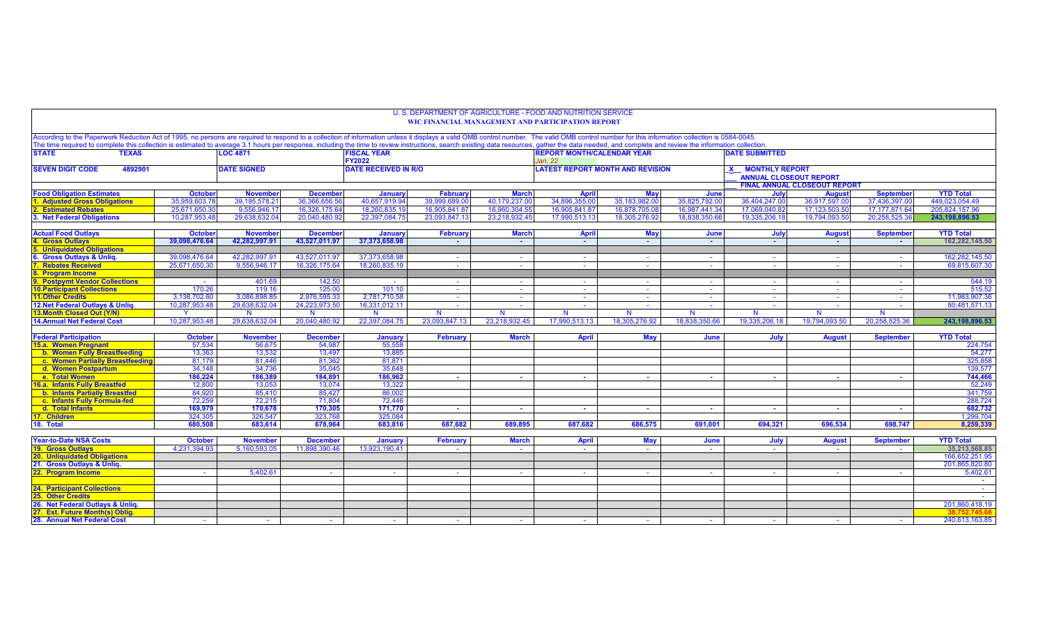| According to the Paperwork Reduction Act of 1995, no persons are required to respond to a collection of information unless it displays a valid OMB control number. The valid OMB control number for this information collectio<br>The time required to complete this collection is estimated to average 3.1 hours per response, including the time to review instructions, search existing data resources, gather the data needed, and complete and review the i<br><b>STATE</b><br><b>FISCAL YEAR</b><br><b>REPORT MONTH/CALENDAR YEAR</b><br><b>DATE SUBMITTED</b><br><b>TEXAS</b><br><b>LOC 4871</b><br>FY2022<br>Jan. 22<br><b>LATEST REPORT MONTH AND REVISION</b><br><b>SEVEN DIGIT CODE</b><br>4892901<br><b>DATE SIGNED</b><br><b>DATE RECEIVED IN R/O</b><br>X MONTHLY REPORT<br><b>ANNUAL CLOSEOUT REPORT</b> | <b>YTD Total</b><br>449.023.054.49<br>205.824.157.96<br>243.198.896.53 |
|-------------------------------------------------------------------------------------------------------------------------------------------------------------------------------------------------------------------------------------------------------------------------------------------------------------------------------------------------------------------------------------------------------------------------------------------------------------------------------------------------------------------------------------------------------------------------------------------------------------------------------------------------------------------------------------------------------------------------------------------------------------------------------------------------------------------------|------------------------------------------------------------------------|
|                                                                                                                                                                                                                                                                                                                                                                                                                                                                                                                                                                                                                                                                                                                                                                                                                         |                                                                        |
|                                                                                                                                                                                                                                                                                                                                                                                                                                                                                                                                                                                                                                                                                                                                                                                                                         |                                                                        |
|                                                                                                                                                                                                                                                                                                                                                                                                                                                                                                                                                                                                                                                                                                                                                                                                                         |                                                                        |
| <b>FINAL ANNUAL CLOSEOUT REPORT</b>                                                                                                                                                                                                                                                                                                                                                                                                                                                                                                                                                                                                                                                                                                                                                                                     |                                                                        |
| <b>Food Obligation Estimates</b><br><b>October</b><br><b>February</b><br><b>September</b><br><b>November</b><br><b>December</b><br>January<br><b>March</b><br><b>April</b><br><b>May</b><br>June<br>July<br><b>August</b>                                                                                                                                                                                                                                                                                                                                                                                                                                                                                                                                                                                               |                                                                        |
| 40.657.919.9<br>34.896.355.00<br>36.404.247.00<br>37.436.397.00<br>35,959,603.7<br>39.195.578.21<br>36,366,656.56<br>39.999.689.00<br>40.179.237.00<br>35.183.982.00<br>35,825,792.0<br>36,917,597.0<br><b>Adjusted Gross Obligations</b>                                                                                                                                                                                                                                                                                                                                                                                                                                                                                                                                                                               |                                                                        |
| <b>Estimated Rebates</b><br>25,671,650.3<br>9.556.946.17<br>16.960.304.5<br>16.905.841.87<br>16.987.441.34<br>17.069.040.82<br>17.123.503.50<br>17.177.871.64<br>16.326.175.6<br>18.260.835.1<br>16.905.841.8<br>16.878.705.0                                                                                                                                                                                                                                                                                                                                                                                                                                                                                                                                                                                           |                                                                        |
| 20.258.525.36<br>3. Net Federal Obligations<br>10.287.953.48<br>29.638.632.04<br>20.040.480.92<br>22.397.084.75<br>23.218.932.45<br>17.990.513.13<br>18.838.350.66<br>19.335.206.18<br>19.794.093.50<br>23.093.847.13<br>18.305.276.92                                                                                                                                                                                                                                                                                                                                                                                                                                                                                                                                                                                  |                                                                        |
| <b>Actual Food Outlays</b><br><b>Octobe</b><br><b>November</b><br><b>December</b><br><b>Januar</b><br><b>February</b><br><b>March</b><br><b>April</b><br>May<br>July<br><b>September</b><br>June<br><b>August</b>                                                                                                                                                                                                                                                                                                                                                                                                                                                                                                                                                                                                       | <b>YTD Total</b>                                                       |
| 39,098,476.64<br>42.282.997.91<br>43,527,011.97<br>37,373,658.98<br><b>Gross Outlays</b><br>$\sim$<br>$\sim$<br>$\sim$                                                                                                                                                                                                                                                                                                                                                                                                                                                                                                                                                                                                                                                                                                  | 162.282.145.50                                                         |
| <b>Unliquidated Obligations</b>                                                                                                                                                                                                                                                                                                                                                                                                                                                                                                                                                                                                                                                                                                                                                                                         |                                                                        |
| 42.282.997.91<br>43.527.011.97<br>37.373.658.98<br><b>Gross Outlays &amp; Unlig.</b><br>39,098,476.64<br>$\sim 10$<br>$\sim 10$<br>$\sim$<br>$\sim$<br>$\sim$<br>$\sim$<br>$\sim$<br>$\sim$                                                                                                                                                                                                                                                                                                                                                                                                                                                                                                                                                                                                                             | 162,282,145.50                                                         |
| 9.556.946.17<br>16.326.175.64<br>18.260.835.19<br><b>Rebates Received</b><br>25.671.650.30<br>$\sim 10$<br>$\sim 10$<br>$\sim$<br><b>Section</b><br>$\sim$<br>$\sim$<br>$\sim$<br>$\sim$                                                                                                                                                                                                                                                                                                                                                                                                                                                                                                                                                                                                                                | 69.815.607.30                                                          |
| <b>Program Income</b>                                                                                                                                                                                                                                                                                                                                                                                                                                                                                                                                                                                                                                                                                                                                                                                                   |                                                                        |
| 142.50<br><b>Postpymt Vendor Collections</b><br>401.69<br>$\sim$<br>$\sim$<br>$\sim$<br><b>Section</b><br>$\sim$<br>$\sim$<br>$\sim$<br>$\sim$<br>$\sim$<br>$\sim$                                                                                                                                                                                                                                                                                                                                                                                                                                                                                                                                                                                                                                                      | 544.19                                                                 |
| 170.26<br>101.10<br><b>10. Participant Collections</b><br>119.16<br>125.00<br>$\sim$<br>$\sim$<br>$\sim$<br>$\sim$<br>$\sim$<br>$\sim$<br>$\sim$<br>$\sim$                                                                                                                                                                                                                                                                                                                                                                                                                                                                                                                                                                                                                                                              | 515.52                                                                 |
| <b>11.Other Credits</b><br>3.138.702.60<br>3.086.898.85<br>2.976.595.33<br>2.781.710.58<br>$\sim$ $-$<br>$\sim$<br>$\sim$<br>$\mathcal{L}_{\mathcal{A}}$<br>$\sim$<br>$\sim$<br>$\sim$<br>$\sim$                                                                                                                                                                                                                                                                                                                                                                                                                                                                                                                                                                                                                        | 11.983.907.36                                                          |
| 12. Net Federal Outlays & Unlig.<br>24.223.973.50<br>10.287.953.48<br>29.638.632.04<br>16.331.012.11<br>$\sim$<br>$\sim$<br>$\sim$<br><b>Section</b><br><b>College</b><br>$\sim$<br>$\sim$<br>$\sim$                                                                                                                                                                                                                                                                                                                                                                                                                                                                                                                                                                                                                    | 80,481,571.13                                                          |
| 13. Month Closed Out (Y/N)<br>N<br>N<br>$\mathbf N$<br>$\mathbf N$<br><b>N</b><br><b>N</b><br>$\mathbf N$<br><b>N</b><br>$\mathbf N$<br>N<br>Y<br>N.                                                                                                                                                                                                                                                                                                                                                                                                                                                                                                                                                                                                                                                                    |                                                                        |
| 20.040.480.92<br><b>14.Annual Net Federal Cost</b><br>10.287.953.48<br>29.638.632.04<br>22.397.084.75<br>23.093.847.13<br>23.218.932.45<br>17.990.513.13<br>18.305.276.92<br>18.838.350.66<br>19.335.206.18<br>19.794.093.50<br>20.258.525.36                                                                                                                                                                                                                                                                                                                                                                                                                                                                                                                                                                           | 243.198.896.53                                                         |
| <b>October</b><br><b>Federal Participation</b><br><b>November</b><br><b>December</b><br>January<br><b>February</b><br><b>March</b><br><b>April</b><br>May<br>June<br>July<br><b>August</b><br><b>September</b>                                                                                                                                                                                                                                                                                                                                                                                                                                                                                                                                                                                                          | <b>YTD Total</b>                                                       |
| 55.558<br>15.a. Women Pregnant<br>57.534<br>56.675<br>54.987                                                                                                                                                                                                                                                                                                                                                                                                                                                                                                                                                                                                                                                                                                                                                            | 224.754                                                                |
| 13.532<br>13,497<br>13,885<br>b. Women Fully Breastfeeding<br>13,363                                                                                                                                                                                                                                                                                                                                                                                                                                                                                                                                                                                                                                                                                                                                                    | 54,277                                                                 |
| c. Women Partially Breastfeeding<br>81,179<br>81,446<br>81,871<br>81,362                                                                                                                                                                                                                                                                                                                                                                                                                                                                                                                                                                                                                                                                                                                                                | 325,858                                                                |
| d. Women Postpartum<br>34.148<br>34.736<br>35,045<br>35.648                                                                                                                                                                                                                                                                                                                                                                                                                                                                                                                                                                                                                                                                                                                                                             | 139.577                                                                |
| 186,389<br>186,224<br>184,891<br>186,962<br>e. Total Women<br><b>College</b><br>$\sim$<br>a.<br>a.<br>$\sim$<br>. .<br>$\sim$<br><b>Section</b>                                                                                                                                                                                                                                                                                                                                                                                                                                                                                                                                                                                                                                                                         | 744,466                                                                |
| 16.a. Infants Fully Breastfed<br>12,800<br>13.053<br>13.074<br>13.322                                                                                                                                                                                                                                                                                                                                                                                                                                                                                                                                                                                                                                                                                                                                                   | 52,249                                                                 |
| <b>b. Infants Partially Breastfed</b><br>84,920<br>85,410<br>85,427<br>86,002                                                                                                                                                                                                                                                                                                                                                                                                                                                                                                                                                                                                                                                                                                                                           | 341,759                                                                |
| c. Infants Fully Formula-fed<br>72.259<br>72.215<br>71.804<br>72.446                                                                                                                                                                                                                                                                                                                                                                                                                                                                                                                                                                                                                                                                                                                                                    | 288.724                                                                |
| 170,305<br>169,979<br>170,678<br>171.770<br>d. Total Infants<br><b>College</b><br><b>Section</b><br><b>Section</b><br>. .<br>$\mathbf{r}$<br><b>COL</b><br>$\sim$<br>$\sim$                                                                                                                                                                                                                                                                                                                                                                                                                                                                                                                                                                                                                                             | 682,732                                                                |
| 17. Children<br>326,547<br>323,768<br>325.084<br>324,305                                                                                                                                                                                                                                                                                                                                                                                                                                                                                                                                                                                                                                                                                                                                                                | 1,299,704                                                              |
| 680.508<br>686.575<br>691.001<br>694.321<br>696.534<br>698.747<br>18. Total<br>683.614<br>678,964<br>683.816<br>687.682<br>689.895<br>687.682                                                                                                                                                                                                                                                                                                                                                                                                                                                                                                                                                                                                                                                                           | 8.259.339                                                              |
|                                                                                                                                                                                                                                                                                                                                                                                                                                                                                                                                                                                                                                                                                                                                                                                                                         |                                                                        |
| <b>Year-to-Date NSA Costs</b><br><b>October</b><br><b>November</b><br><b>December</b><br>January<br><b>February</b><br><b>March</b><br><b>April</b><br><b>May</b><br>July<br><b>August</b><br><b>September</b><br>June                                                                                                                                                                                                                                                                                                                                                                                                                                                                                                                                                                                                  | <b>YTD Total</b>                                                       |
| <b>19. Gross Outlavs</b><br>4.231.394.93<br>5.160.593.05<br>11.898.390.46<br>13.923.190.41                                                                                                                                                                                                                                                                                                                                                                                                                                                                                                                                                                                                                                                                                                                              | 35.213.568.85                                                          |
| <b>20. Unliquidated Obligations</b>                                                                                                                                                                                                                                                                                                                                                                                                                                                                                                                                                                                                                                                                                                                                                                                     | 166.652.251.95                                                         |
| 21. Gross Outlays & Unlig.                                                                                                                                                                                                                                                                                                                                                                                                                                                                                                                                                                                                                                                                                                                                                                                              | 201.865.820.80                                                         |
| 5.402.61<br>22. Program Income<br>$\sim$<br>$\sim$<br>$\sim$<br>$\sim$<br>$\sim$<br>$\sim$<br>$\sim$<br>$\sim$<br>$\sim$<br>$\sim$<br>$\sim$                                                                                                                                                                                                                                                                                                                                                                                                                                                                                                                                                                                                                                                                            | 5,402.61                                                               |
|                                                                                                                                                                                                                                                                                                                                                                                                                                                                                                                                                                                                                                                                                                                                                                                                                         | <b>Contract</b>                                                        |
| <b>24. Participant Collections</b>                                                                                                                                                                                                                                                                                                                                                                                                                                                                                                                                                                                                                                                                                                                                                                                      | <b>Contract</b>                                                        |
| 25.<br><b>Other Credits</b>                                                                                                                                                                                                                                                                                                                                                                                                                                                                                                                                                                                                                                                                                                                                                                                             |                                                                        |
| 26. Net Federal Outlays & Unliq.                                                                                                                                                                                                                                                                                                                                                                                                                                                                                                                                                                                                                                                                                                                                                                                        | 201.860.418.19                                                         |
| 27. Est. Future Month(s) Oblig.                                                                                                                                                                                                                                                                                                                                                                                                                                                                                                                                                                                                                                                                                                                                                                                         | 38.752.745.66                                                          |
| 28. Annual Net Federal Cost<br><b>College</b><br><b>Section</b><br>$\sim$<br><b>Section</b><br><b>Simple</b><br>$\sim$<br>$\sim$<br><b>Service</b>                                                                                                                                                                                                                                                                                                                                                                                                                                                                                                                                                                                                                                                                      | 240,613,163.85                                                         |